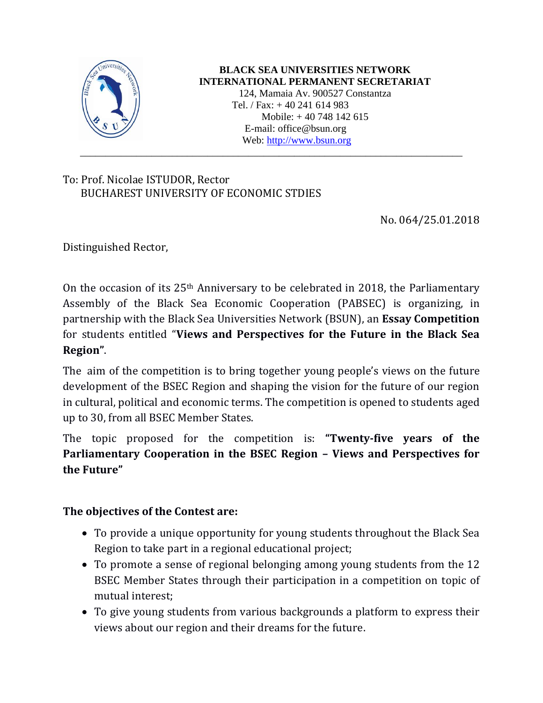

## **BLACK SEA UNIVERSITIES NETWORK INTERNATIONAL PERMANENT SECRETARIAT**

124, Mamaia Av. 900527 Constantza Tel. / Fax: + 40 241 614 983 Mobile: + 40 748 142 615 E-mail: office@bsun.org Web: [http://www.bsun.org](http://www.bsun.org/)

## To: Prof. Nicolae ISTUDOR, Rector BUCHAREST UNIVERSITY OF ECONOMIC STDIES

No. 064/25.01.2018

Distinguished Rector,

On the occasion of its 25th Anniversary to be celebrated in 2018, the Parliamentary Assembly of the Black Sea Economic Cooperation (PABSEC) is organizing, in partnership with the Black Sea Universities Network (BSUN), an **Essay Competition** for students entitled "**Views and Perspectives for the Future in the Black Sea Region"**.

\_\_\_\_\_\_\_\_\_\_\_\_\_\_\_\_\_\_\_\_\_\_\_\_\_\_\_\_\_\_\_\_\_\_\_\_\_\_\_\_\_\_\_\_\_\_\_\_\_\_\_\_\_\_\_\_\_\_\_\_\_\_\_\_\_\_\_\_\_\_\_\_\_\_\_

The aim of the competition is to bring together young people's views on the future development of the BSEC Region and shaping the vision for the future of our region in cultural, political and economic terms. The competition is opened to students aged up to 30, from all BSEC Member States.

The topic proposed for the competition is: **"Twenty-five years of the Parliamentary Cooperation in the BSEC Region – Views and Perspectives for the Future"**

## **The objectives of the Contest are:**

- To provide a unique opportunity for young students throughout the Black Sea Region to take part in a regional educational project;
- To promote a sense of regional belonging among young students from the 12 BSEC Member States through their participation in a competition on topic of mutual interest;
- To give young students from various backgrounds a platform to express their views about our region and their dreams for the future.